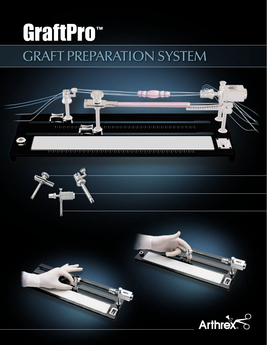# GraftPro<sup>™</sup> GRAFT PREPARATION SYSTEM

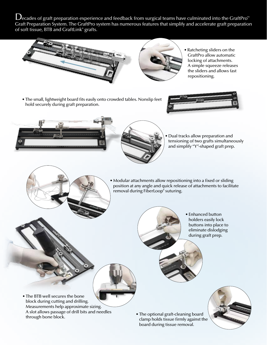$\bigcup$ ecades of graft preparation experience and feedback from surgical teams have culminated into the GraftPro<sup>™</sup> Graft Preparation System. The GraftPro system has numerous features that simplify and accelerate graft preparation of soft tissue, BTB and GraftLink® grafts.



- Ratcheting sliders on the GraftPro allow automatic locking of attachments. A simple squeeze releases the sliders and allows fast repositioning.
- The small, lightweight board fits easily onto crowded tables. Nonslip feet hold securely during graft preparation.







• Dual tracks allow preparation and tensioning of two grafts simultaneously and simplify "Y"-shaped graft prep.



• Enhanced button holders easily lock buttons into place to eliminate dislodging during graft prep.

- The BTB well secures the bone block during cutting and drilling. Measurements help approximate sizing. A slot allows passage of drill bits and needles through bone block.
- The optional graft-cleaning board clamp holds tissue firmly against the board during tissue removal.

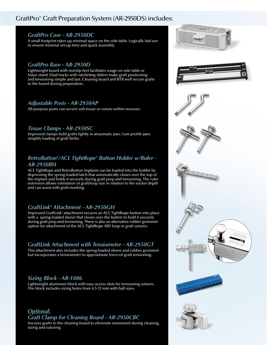# GraftPro™ Graft Preparation System (AR-2950DS) includes:

#### *GraftPro Case - AR-2950DC*

A small footprint takes up minimal space on the side table. Logically laid out to ensure minimal set-up time and quick assembly.

#### *GraftPro Base - AR-2950D*

Lightweight board with nonslip feet facilitates usage on side table or Mayo stand. Dual tracks with ratcheting sliders make graft positioning and tensioning simple and fast. Cleaning board and BTB well secure grafts to the board during preparation.

#### *Adjustable Posts - AR-2950AP*

All-purpose posts can secure soft tissue or suture within recesses.

#### *Tissue Clamps - AR-2950SC*

Improved clamps hold grafts tightly in atraumatic jaws. Low profile jaws simplify loading of graft limbs.

# *RetroButton®/ACL TightRope® Button Holder w/Ruler - AR-2950BH*

ACL TightRope and RetroButton implants can be loaded into the holder by depressing the spring-loaded latch that automatically closes over the top of the implant and holds it securely during graft prep and tensioning. The ruler extension allows estimation of graft/loop size in relation to the socket depth and can assist with graft-marking.

#### *GraftLink® Attachment - AR-2950GH*

Improved GraftLink® attachment secures an ACL TightRope button into place with a spring-loaded sleeve that closes over the button to hold it securely during graft prep and tensioning. There is also an alternative rubber grommet option for attachment of the ACL TightRope ABS loop or graft sutures.

## *GraftLink Attachment with Tensiometer - AR-2950GT*

This attachment also includes the spring-loaded sleeve and rubber grommet but incorporates a tensiometer to approximate force-of-graft tensioning.

## *Sizing Block - AR-1886*

Lightweight aluminum block with easy access slots for tensioning sutures. The block includes sizing holes from 4.5-12 mm with half sizes.

## *Optional: Graft Clamp for Cleaning Board - AR-2950CBC*

Secures grafts to the cleaning board to eliminate movement during cleaning, sizing and suturing.